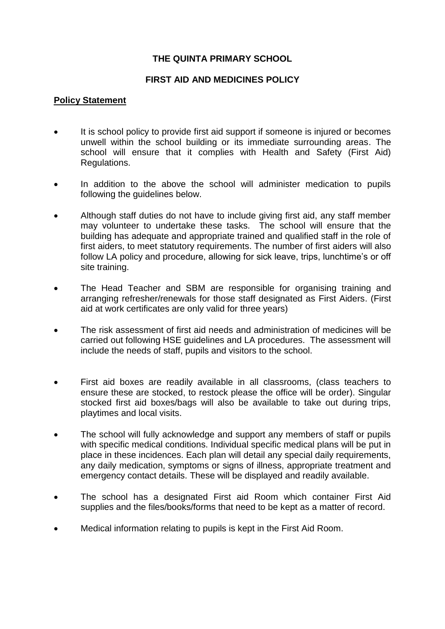#### **THE QUINTA PRIMARY SCHOOL**

#### **FIRST AID AND MEDICINES POLICY**

#### **Policy Statement**

- It is school policy to provide first aid support if someone is injured or becomes unwell within the school building or its immediate surrounding areas. The school will ensure that it complies with Health and Safety (First Aid) Regulations.
- In addition to the above the school will administer medication to pupils following the guidelines below.
- Although staff duties do not have to include giving first aid, any staff member may volunteer to undertake these tasks. The school will ensure that the building has adequate and appropriate trained and qualified staff in the role of first aiders, to meet statutory requirements. The number of first aiders will also follow LA policy and procedure, allowing for sick leave, trips, lunchtime's or off site training.
- The Head Teacher and SBM are responsible for organising training and arranging refresher/renewals for those staff designated as First Aiders. (First aid at work certificates are only valid for three years)
- The risk assessment of first aid needs and administration of medicines will be carried out following HSE guidelines and LA procedures. The assessment will include the needs of staff, pupils and visitors to the school.
- First aid boxes are readily available in all classrooms, (class teachers to ensure these are stocked, to restock please the office will be order). Singular stocked first aid boxes/bags will also be available to take out during trips, playtimes and local visits.
- The school will fully acknowledge and support any members of staff or pupils with specific medical conditions. Individual specific medical plans will be put in place in these incidences. Each plan will detail any special daily requirements, any daily medication, symptoms or signs of illness, appropriate treatment and emergency contact details. These will be displayed and readily available.
- The school has a designated First aid Room which container First Aid supplies and the files/books/forms that need to be kept as a matter of record.
- Medical information relating to pupils is kept in the First Aid Room.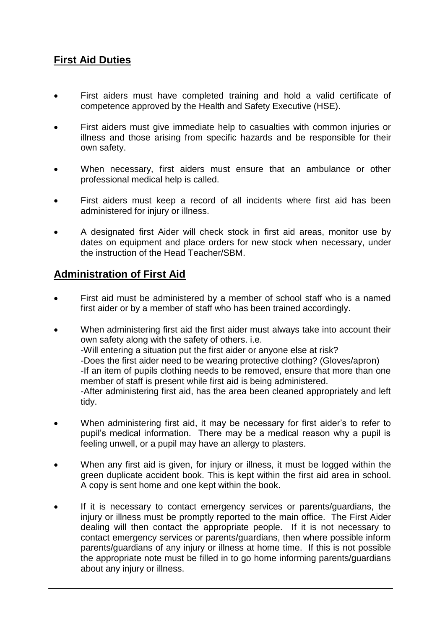## **First Aid Duties**

- First aiders must have completed training and hold a valid certificate of competence approved by the Health and Safety Executive (HSE).
- First aiders must give immediate help to casualties with common injuries or illness and those arising from specific hazards and be responsible for their own safety.
- When necessary, first aiders must ensure that an ambulance or other professional medical help is called.
- First aiders must keep a record of all incidents where first aid has been administered for injury or illness.
- A designated first Aider will check stock in first aid areas, monitor use by dates on equipment and place orders for new stock when necessary, under the instruction of the Head Teacher/SBM.

### **Administration of First Aid**

- First aid must be administered by a member of school staff who is a named first aider or by a member of staff who has been trained accordingly.
- When administering first aid the first aider must always take into account their own safety along with the safety of others. i.e. -Will entering a situation put the first aider or anyone else at risk? -Does the first aider need to be wearing protective clothing? (Gloves/apron) -If an item of pupils clothing needs to be removed, ensure that more than one member of staff is present while first aid is being administered. -After administering first aid, has the area been cleaned appropriately and left tidy.
- When administering first aid, it may be necessary for first aider's to refer to pupil's medical information. There may be a medical reason why a pupil is feeling unwell, or a pupil may have an allergy to plasters.
- When any first aid is given, for injury or illness, it must be logged within the green duplicate accident book. This is kept within the first aid area in school. A copy is sent home and one kept within the book.
- If it is necessary to contact emergency services or parents/guardians, the injury or illness must be promptly reported to the main office. The First Aider dealing will then contact the appropriate people. If it is not necessary to contact emergency services or parents/guardians, then where possible inform parents/guardians of any injury or illness at home time. If this is not possible the appropriate note must be filled in to go home informing parents/guardians about any injury or illness.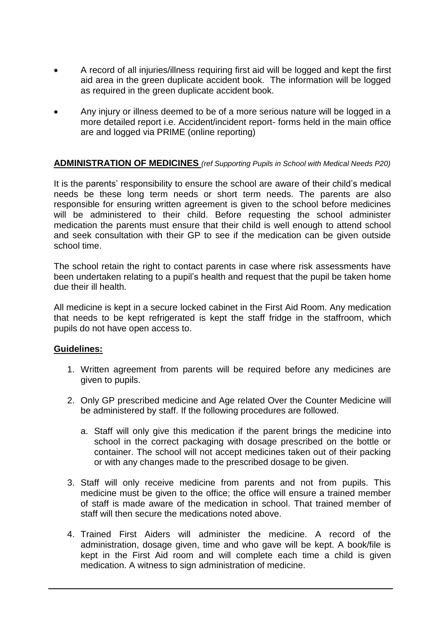- A record of all injuries/illness requiring first aid will be logged and kept the first aid area in the green duplicate accident book. The information will be logged as required in the green duplicate accident book.
- Any injury or illness deemed to be of a more serious nature will be logged in a more detailed report i.e. Accident/incident report- forms held in the main office are and logged via PRIME (online reporting)

#### **ADMINISTRATION OF MEDICINES** *(ref Supporting Pupils in School with Medical Needs P20)*

It is the parents' responsibility to ensure the school are aware of their child's medical needs be these long term needs or short term needs. The parents are also responsible for ensuring written agreement is given to the school before medicines will be administered to their child. Before requesting the school administer medication the parents must ensure that their child is well enough to attend school and seek consultation with their GP to see if the medication can be given outside school time.

The school retain the right to contact parents in case where risk assessments have been undertaken relating to a pupil's health and request that the pupil be taken home due their ill health.

All medicine is kept in a secure locked cabinet in the First Aid Room. Any medication that needs to be kept refrigerated is kept the staff fridge in the staffroom, which pupils do not have open access to.

#### **Guidelines:**

- 1. Written agreement from parents will be required before any medicines are given to pupils.
- 2. Only GP prescribed medicine and Age related Over the Counter Medicine will be administered by staff. If the following procedures are followed.
	- a. Staff will only give this medication if the parent brings the medicine into school in the correct packaging with dosage prescribed on the bottle or container. The school will not accept medicines taken out of their packing or with any changes made to the prescribed dosage to be given.
- 3. Staff will only receive medicine from parents and not from pupils. This medicine must be given to the office; the office will ensure a trained member of staff is made aware of the medication in school. That trained member of staff will then secure the medications noted above.
- 4. Trained First Aiders will administer the medicine. A record of the administration, dosage given, time and who gave will be kept. A book/file is kept in the First Aid room and will complete each time a child is given medication. A witness to sign administration of medicine.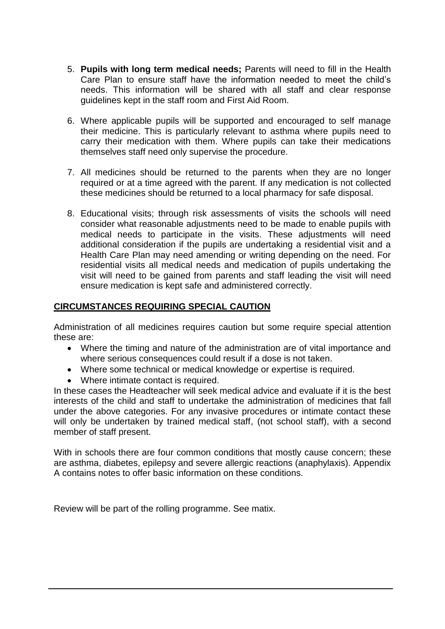- 5. **Pupils with long term medical needs;** Parents will need to fill in the Health Care Plan to ensure staff have the information needed to meet the child's needs. This information will be shared with all staff and clear response guidelines kept in the staff room and First Aid Room.
- 6. Where applicable pupils will be supported and encouraged to self manage their medicine. This is particularly relevant to asthma where pupils need to carry their medication with them. Where pupils can take their medications themselves staff need only supervise the procedure.
- 7. All medicines should be returned to the parents when they are no longer required or at a time agreed with the parent. If any medication is not collected these medicines should be returned to a local pharmacy for safe disposal.
- 8. Educational visits; through risk assessments of visits the schools will need consider what reasonable adjustments need to be made to enable pupils with medical needs to participate in the visits. These adjustments will need additional consideration if the pupils are undertaking a residential visit and a Health Care Plan may need amending or writing depending on the need. For residential visits all medical needs and medication of pupils undertaking the visit will need to be gained from parents and staff leading the visit will need ensure medication is kept safe and administered correctly.

#### **CIRCUMSTANCES REQUIRING SPECIAL CAUTION**

Administration of all medicines requires caution but some require special attention these are:

- Where the timing and nature of the administration are of vital importance and where serious consequences could result if a dose is not taken.
- Where some technical or medical knowledge or expertise is required.
- Where intimate contact is required.

In these cases the Headteacher will seek medical advice and evaluate if it is the best interests of the child and staff to undertake the administration of medicines that fall under the above categories. For any invasive procedures or intimate contact these will only be undertaken by trained medical staff, (not school staff), with a second member of staff present.

With in schools there are four common conditions that mostly cause concern; these are asthma, diabetes, epilepsy and severe allergic reactions (anaphylaxis). Appendix A contains notes to offer basic information on these conditions.

Review will be part of the rolling programme. See matix.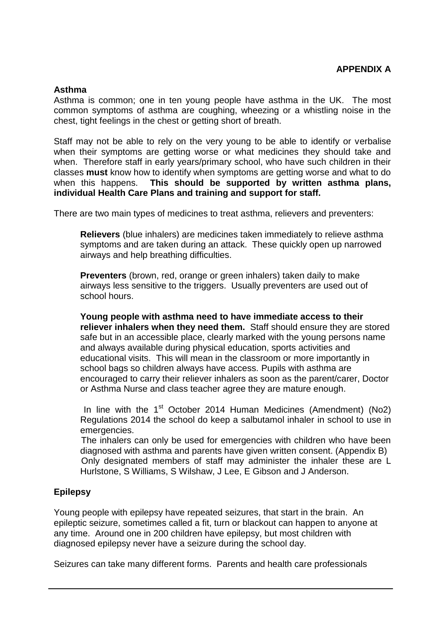#### **Asthma**

Asthma is common; one in ten young people have asthma in the UK. The most common symptoms of asthma are coughing, wheezing or a whistling noise in the chest, tight feelings in the chest or getting short of breath.

Staff may not be able to rely on the very young to be able to identify or verbalise when their symptoms are getting worse or what medicines they should take and when. Therefore staff in early years/primary school, who have such children in their classes **must** know how to identify when symptoms are getting worse and what to do when this happens. **This should be supported by written asthma plans, individual Health Care Plans and training and support for staff.**

There are two main types of medicines to treat asthma, relievers and preventers:

**Relievers** (blue inhalers) are medicines taken immediately to relieve asthma symptoms and are taken during an attack. These quickly open up narrowed airways and help breathing difficulties.

**Preventers** (brown, red, orange or green inhalers) taken daily to make airways less sensitive to the triggers. Usually preventers are used out of school hours.

**Young people with asthma need to have immediate access to their reliever inhalers when they need them.** Staff should ensure they are stored safe but in an accessible place, clearly marked with the young persons name and always available during physical education, sports activities and educational visits. This will mean in the classroom or more importantly in school bags so children always have access. Pupils with asthma are encouraged to carry their reliever inhalers as soon as the parent/carer, Doctor or Asthma Nurse and class teacher agree they are mature enough.

In line with the 1<sup>st</sup> October 2014 Human Medicines (Amendment) (No2) Regulations 2014 the school do keep a salbutamol inhaler in school to use in emergencies.

 The inhalers can only be used for emergencies with children who have been diagnosed with asthma and parents have given written consent. (Appendix B) Only designated members of staff may administer the inhaler these are L Hurlstone, S Williams, S Wilshaw, J Lee, E Gibson and J Anderson.

#### **Epilepsy**

Young people with epilepsy have repeated seizures, that start in the brain. An epileptic seizure, sometimes called a fit, turn or blackout can happen to anyone at any time. Around one in 200 children have epilepsy, but most children with diagnosed epilepsy never have a seizure during the school day.

Seizures can take many different forms. Parents and health care professionals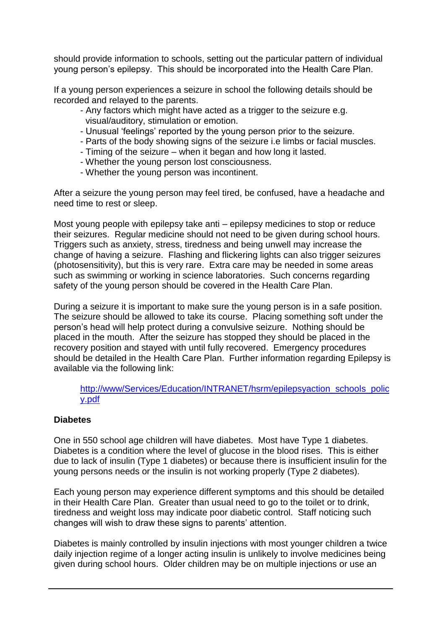should provide information to schools, setting out the particular pattern of individual young person's epilepsy. This should be incorporated into the Health Care Plan.

If a young person experiences a seizure in school the following details should be recorded and relayed to the parents.

- Any factors which might have acted as a trigger to the seizure e.g. visual/auditory, stimulation or emotion.
- Unusual 'feelings' reported by the young person prior to the seizure.
- Parts of the body showing signs of the seizure i.e limbs or facial muscles.
- Timing of the seizure when it began and how long it lasted.
- Whether the young person lost consciousness.
- Whether the young person was incontinent.

After a seizure the young person may feel tired, be confused, have a headache and need time to rest or sleep.

Most young people with epilepsy take anti – epilepsy medicines to stop or reduce their seizures. Regular medicine should not need to be given during school hours. Triggers such as anxiety, stress, tiredness and being unwell may increase the change of having a seizure. Flashing and flickering lights can also trigger seizures (photosensitivity), but this is very rare. Extra care may be needed in some areas such as swimming or working in science laboratories. Such concerns regarding safety of the young person should be covered in the Health Care Plan.

During a seizure it is important to make sure the young person is in a safe position. The seizure should be allowed to take its course. Placing something soft under the person's head will help protect during a convulsive seizure. Nothing should be placed in the mouth. After the seizure has stopped they should be placed in the recovery position and stayed with until fully recovered. Emergency procedures should be detailed in the Health Care Plan. Further information regarding Epilepsy is available via the following link:

#### [http://www/Services/Education/INTRANET/hsrm/epilepsyaction\\_schools\\_polic](http://www/Services/Education/INTRANET/hsrm/epilepsyaction_schools_policy.pdf) [y.pdf](http://www/Services/Education/INTRANET/hsrm/epilepsyaction_schools_policy.pdf)

#### **Diabetes**

One in 550 school age children will have diabetes. Most have Type 1 diabetes. Diabetes is a condition where the level of glucose in the blood rises. This is either due to lack of insulin (Type 1 diabetes) or because there is insufficient insulin for the young persons needs or the insulin is not working properly (Type 2 diabetes).

Each young person may experience different symptoms and this should be detailed in their Health Care Plan. Greater than usual need to go to the toilet or to drink, tiredness and weight loss may indicate poor diabetic control. Staff noticing such changes will wish to draw these signs to parents' attention.

Diabetes is mainly controlled by insulin injections with most younger children a twice daily injection regime of a longer acting insulin is unlikely to involve medicines being given during school hours. Older children may be on multiple injections or use an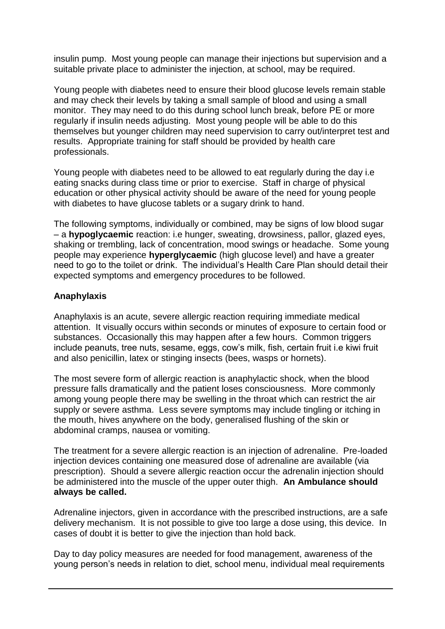insulin pump. Most young people can manage their injections but supervision and a suitable private place to administer the injection, at school, may be required.

Young people with diabetes need to ensure their blood glucose levels remain stable and may check their levels by taking a small sample of blood and using a small monitor. They may need to do this during school lunch break, before PE or more regularly if insulin needs adjusting. Most young people will be able to do this themselves but younger children may need supervision to carry out/interpret test and results. Appropriate training for staff should be provided by health care professionals.

Young people with diabetes need to be allowed to eat regularly during the day i.e eating snacks during class time or prior to exercise. Staff in charge of physical education or other physical activity should be aware of the need for young people with diabetes to have glucose tablets or a sugary drink to hand.

The following symptoms, individually or combined, may be signs of low blood sugar – a **hypoglycaemic** reaction: i.e hunger, sweating, drowsiness, pallor, glazed eyes, shaking or trembling, lack of concentration, mood swings or headache. Some young people may experience **hyperglycaemic** (high glucose level) and have a greater need to go to the toilet or drink. The individual's Health Care Plan should detail their expected symptoms and emergency procedures to be followed.

#### **Anaphylaxis**

Anaphylaxis is an acute, severe allergic reaction requiring immediate medical attention. It visually occurs within seconds or minutes of exposure to certain food or substances. Occasionally this may happen after a few hours. Common triggers include peanuts, tree nuts, sesame, eggs, cow's milk, fish, certain fruit i.e kiwi fruit and also penicillin, latex or stinging insects (bees, wasps or hornets).

The most severe form of allergic reaction is anaphylactic shock, when the blood pressure falls dramatically and the patient loses consciousness. More commonly among young people there may be swelling in the throat which can restrict the air supply or severe asthma. Less severe symptoms may include tingling or itching in the mouth, hives anywhere on the body, generalised flushing of the skin or abdominal cramps, nausea or vomiting.

The treatment for a severe allergic reaction is an injection of adrenaline. Pre-loaded injection devices containing one measured dose of adrenaline are available (via prescription). Should a severe allergic reaction occur the adrenalin injection should be administered into the muscle of the upper outer thigh. **An Ambulance should always be called.**

Adrenaline injectors, given in accordance with the prescribed instructions, are a safe delivery mechanism. It is not possible to give too large a dose using, this device. In cases of doubt it is better to give the injection than hold back.

Day to day policy measures are needed for food management, awareness of the young person's needs in relation to diet, school menu, individual meal requirements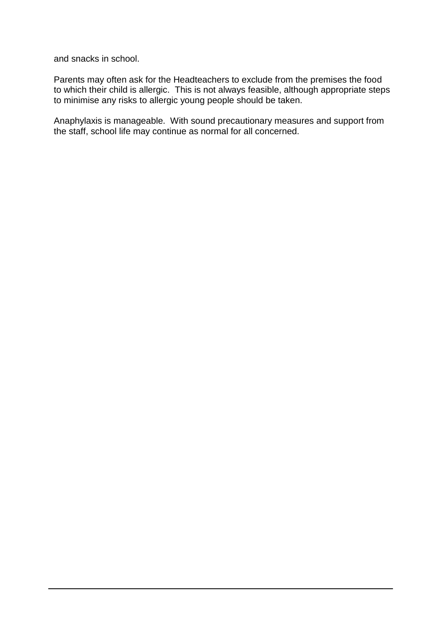and snacks in school.

Parents may often ask for the Headteachers to exclude from the premises the food to which their child is allergic. This is not always feasible, although appropriate steps to minimise any risks to allergic young people should be taken.

Anaphylaxis is manageable. With sound precautionary measures and support from the staff, school life may continue as normal for all concerned.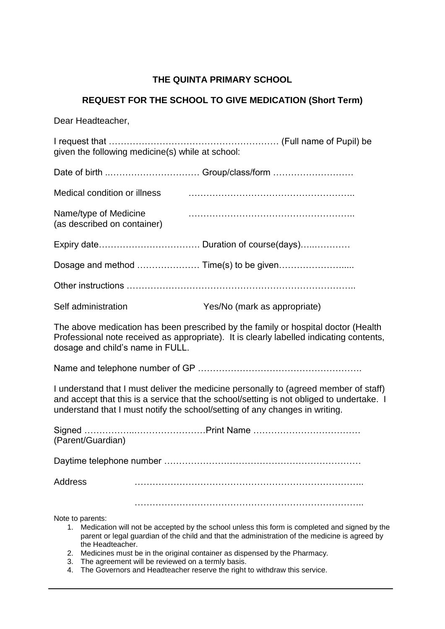#### **THE QUINTA PRIMARY SCHOOL**

#### **REQUEST FOR THE SCHOOL TO GIVE MEDICATION (Short Term)**

Dear Headteacher,

I request that ………………………………………………… (Full name of Pupil) be given the following medicine(s) while at school:

| Medical condition or illness                         |  |
|------------------------------------------------------|--|
| Name/type of Medicine<br>(as described on container) |  |
|                                                      |  |
|                                                      |  |
|                                                      |  |
|                                                      |  |

Self administration Yes/No (mark as appropriate)

The above medication has been prescribed by the family or hospital doctor (Health Professional note received as appropriate). It is clearly labelled indicating contents, dosage and child's name in FULL.

Name and telephone number of GP ……………………………………………….

I understand that I must deliver the medicine personally to (agreed member of staff) and accept that this is a service that the school/setting is not obliged to undertake. I understand that I must notify the school/setting of any changes in writing.

| (Parent/Guardian) |  |
|-------------------|--|
|                   |  |
| <b>Address</b>    |  |
| Note to parents:  |  |

- 1. Medication will not be accepted by the school unless this form is completed and signed by the parent or legal guardian of the child and that the administration of the medicine is agreed by the Headteacher.
- 2. Medicines must be in the original container as dispensed by the Pharmacy.
- 3. The agreement will be reviewed on a termly basis.
- 4. The Governors and Headteacher reserve the right to withdraw this service.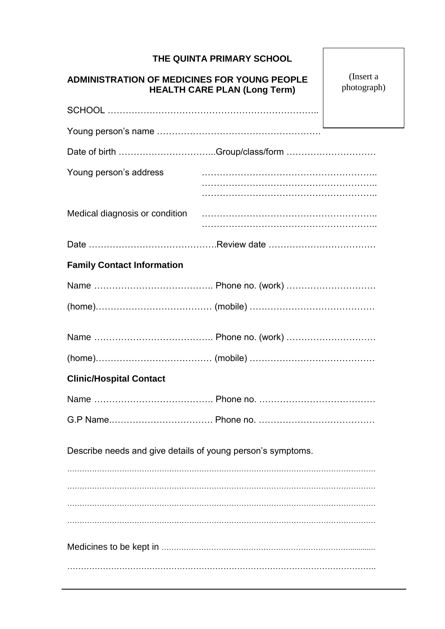|                                                                                            | THE QUINTA PRIMARY SCHOOL |                          |
|--------------------------------------------------------------------------------------------|---------------------------|--------------------------|
| <b>ADMINISTRATION OF MEDICINES FOR YOUNG PEOPLE</b><br><b>HEALTH CARE PLAN (Long Term)</b> |                           | (Insert a<br>photograph) |
|                                                                                            |                           |                          |
|                                                                                            |                           |                          |
| Date of birth Group/class/form                                                             |                           |                          |
| Young person's address                                                                     |                           |                          |
| Medical diagnosis or condition                                                             |                           |                          |
|                                                                                            |                           |                          |
| <b>Family Contact Information</b>                                                          |                           |                          |
|                                                                                            |                           |                          |
|                                                                                            |                           |                          |
|                                                                                            |                           |                          |
|                                                                                            |                           |                          |
| <b>Clinic/Hospital Contact</b>                                                             |                           |                          |
|                                                                                            |                           |                          |
|                                                                                            |                           |                          |
| Describe needs and give details of young person's symptoms.                                |                           |                          |
|                                                                                            |                           |                          |
|                                                                                            |                           |                          |
|                                                                                            |                           |                          |
|                                                                                            |                           |                          |
|                                                                                            |                           |                          |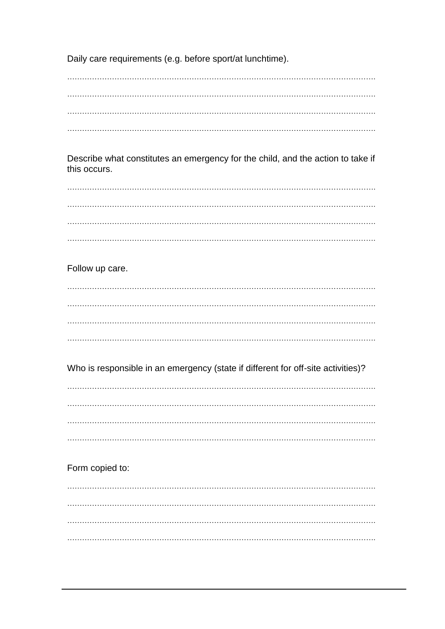Daily care requirements (e.g. before sport/at lunchtime).

Describe what constitutes an emergency for the child, and the action to take if this occurs.

Follow up care.

Who is responsible in an emergency (state if different for off-site activities)?

Form copied to: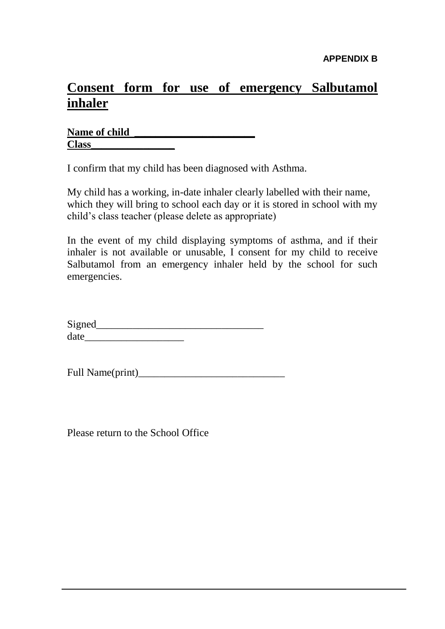# **Consent form for use of emergency Salbutamol inhaler**

| <b>Name of child</b> |  |
|----------------------|--|
| <b>Class</b>         |  |

I confirm that my child has been diagnosed with Asthma.

My child has a working, in-date inhaler clearly labelled with their name, which they will bring to school each day or it is stored in school with my child's class teacher (please delete as appropriate)

In the event of my child displaying symptoms of asthma, and if their inhaler is not available or unusable, I consent for my child to receive Salbutamol from an emergency inhaler held by the school for such emergencies.

| Signed |  |  |  |
|--------|--|--|--|
| date   |  |  |  |

| Full Name(print) |  |
|------------------|--|
|------------------|--|

Please return to the School Office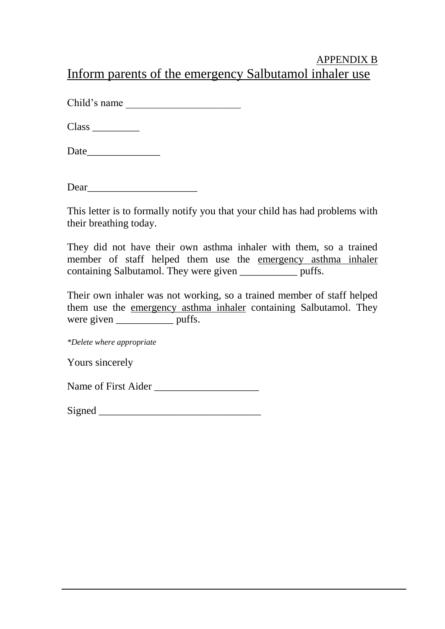## APPENDIX B Inform parents of the emergency Salbutamol inhaler use

Child's name

Class \_\_\_\_\_\_\_\_\_

Date\_\_\_\_\_\_\_\_\_\_\_\_\_\_

Dear

This letter is to formally notify you that your child has had problems with their breathing today.

They did not have their own asthma inhaler with them, so a trained member of staff helped them use the emergency asthma inhaler containing Salbutamol. They were given \_\_\_\_\_\_\_\_\_\_\_ puffs.

Their own inhaler was not working, so a trained member of staff helped them use the emergency asthma inhaler containing Salbutamol. They were given puffs.

*\*Delete where appropriate*

Yours sincerely

Name of First Aider

| Signe<br>المحمد<br>. |
|----------------------|
|----------------------|